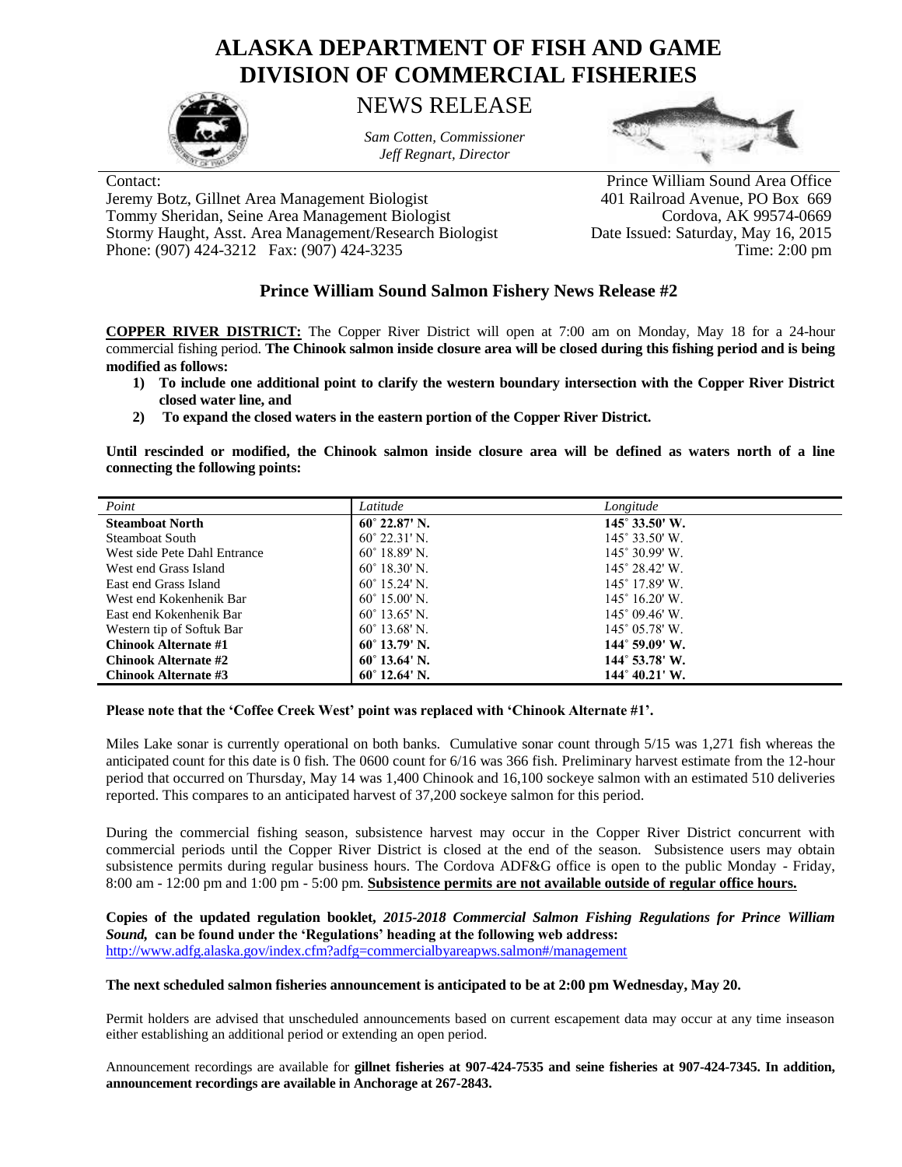## **ALASKA DEPARTMENT OF FISH AND GAME DIVISION OF COMMERCIAL FISHERIES**



NEWS RELEASE

*Sam Cotten, Commissioner Jeff Regnart, Director*



Jeremy Botz, Gillnet Area Management Biologist 401 Railroad Avenue, PO Box 669 Tommy Sheridan, Seine Area Management Biologist Cordova, AK 99574-0669<br>Stormy Haught, Asst. Area Management/Research Biologist Date Issued: Saturday, May 16, 2015 Stormy Haught, Asst. Area Management/Research Biologist Phone: (907) 424-3212 Fax: (907) 424-3235 Time: 2:00 pm

Contact: Prince William Sound Area Office

## **Prince William Sound Salmon Fishery News Release #2**

**COPPER RIVER DISTRICT:** The Copper River District will open at 7:00 am on Monday, May 18 for a 24-hour commercial fishing period. **The Chinook salmon inside closure area will be closed during this fishing period and is being modified as follows:**

- **1) To include one additional point to clarify the western boundary intersection with the Copper River District closed water line, and**
- **2) To expand the closed waters in the eastern portion of the Copper River District.**

**Until rescinded or modified, the Chinook salmon inside closure area will be defined as waters north of a line connecting the following points:**

| Point                        | Latitude               | Longitude                      |
|------------------------------|------------------------|--------------------------------|
| <b>Steamboat North</b>       | $60^{\circ}$ 22.87' N. | $145^{\circ} 33.50^{\circ}$ W. |
| <b>Steamboat South</b>       | $60^{\circ}$ 22.31' N. | $145^\circ 33.50'$ W.          |
| West side Pete Dahl Entrance | $60^{\circ}$ 18.89' N. | $145^{\circ}$ 30.99' W.        |
| West end Grass Island        | $60^{\circ}$ 18.30' N. | $145^\circ 28.42'$ W.          |
| East end Grass Island        | $60^{\circ}$ 15.24' N. | $145^\circ$ 17.89' W.          |
| West end Kokenhenik Bar      | $60^{\circ}$ 15.00' N. | $145^{\circ}$ 16.20' W.        |
| East end Kokenhenik Bar      | $60^{\circ}$ 13.65' N. | $145^{\circ}$ 09.46' W.        |
| Western tip of Softuk Bar    | $60^{\circ}$ 13.68' N. | $145^{\circ}$ 05.78' W.        |
| Chinook Alternate #1         | $60^{\circ}$ 13.79' N. | $144^{\circ}$ 59.09' W.        |
| <b>Chinook Alternate #2</b>  | $60^{\circ}$ 13.64' N. | $144^{\circ}$ 53.78' W.        |
| Chinook Alternate #3         | $60^{\circ}$ 12.64' N. | $144^{\circ}$ 40.21' W.        |

## **Please note that the 'Coffee Creek West' point was replaced with 'Chinook Alternate #1'.**

Miles Lake sonar is currently operational on both banks. Cumulative sonar count through 5/15 was 1,271 fish whereas the anticipated count for this date is 0 fish. The 0600 count for 6/16 was 366 fish. Preliminary harvest estimate from the 12-hour period that occurred on Thursday, May 14 was 1,400 Chinook and 16,100 sockeye salmon with an estimated 510 deliveries reported. This compares to an anticipated harvest of 37,200 sockeye salmon for this period.

During the commercial fishing season, subsistence harvest may occur in the Copper River District concurrent with commercial periods until the Copper River District is closed at the end of the season. Subsistence users may obtain subsistence permits during regular business hours. The Cordova ADF&G office is open to the public Monday - Friday, 8:00 am - 12:00 pm and 1:00 pm - 5:00 pm. **Subsistence permits are not available outside of regular office hours.**

**Copies of the updated regulation booklet,** *2015-2018 Commercial Salmon Fishing Regulations for Prince William Sound,* **can be found under the 'Regulations' heading at the following web address:** <http://www.adfg.alaska.gov/index.cfm?adfg=commercialbyareapws.salmon#/management>

## **The next scheduled salmon fisheries announcement is anticipated to be at 2:00 pm Wednesday, May 20.**

Permit holders are advised that unscheduled announcements based on current escapement data may occur at any time inseason either establishing an additional period or extending an open period.

Announcement recordings are available for **gillnet fisheries at 907-424-7535 and seine fisheries at 907-424-7345. In addition, announcement recordings are available in Anchorage at 267-2843.**